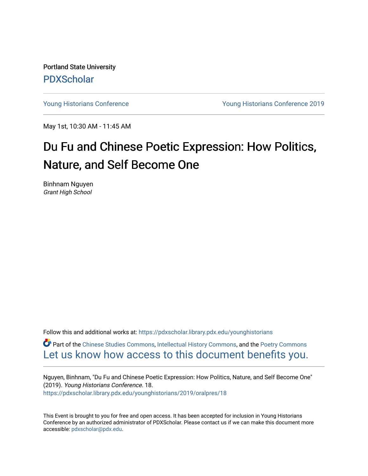Portland State University [PDXScholar](https://pdxscholar.library.pdx.edu/)

[Young Historians Conference](https://pdxscholar.library.pdx.edu/younghistorians) [Young Historians Conference 2019](https://pdxscholar.library.pdx.edu/younghistorians/2019) 

May 1st, 10:30 AM - 11:45 AM

## Du Fu and Chinese Poetic Expression: How Politics, Nature, and Self Become One

Binhnam Nguyen Grant High School

Follow this and additional works at: [https://pdxscholar.library.pdx.edu/younghistorians](https://pdxscholar.library.pdx.edu/younghistorians?utm_source=pdxscholar.library.pdx.edu%2Fyounghistorians%2F2019%2Foralpres%2F18&utm_medium=PDF&utm_campaign=PDFCoverPages)

Part of the [Chinese Studies Commons](http://network.bepress.com/hgg/discipline/1081?utm_source=pdxscholar.library.pdx.edu%2Fyounghistorians%2F2019%2Foralpres%2F18&utm_medium=PDF&utm_campaign=PDFCoverPages), [Intellectual History Commons](http://network.bepress.com/hgg/discipline/501?utm_source=pdxscholar.library.pdx.edu%2Fyounghistorians%2F2019%2Foralpres%2F18&utm_medium=PDF&utm_campaign=PDFCoverPages), and the [Poetry Commons](http://network.bepress.com/hgg/discipline/1153?utm_source=pdxscholar.library.pdx.edu%2Fyounghistorians%2F2019%2Foralpres%2F18&utm_medium=PDF&utm_campaign=PDFCoverPages)  [Let us know how access to this document benefits you.](http://library.pdx.edu/services/pdxscholar-services/pdxscholar-feedback/) 

Nguyen, Binhnam, "Du Fu and Chinese Poetic Expression: How Politics, Nature, and Self Become One" (2019). Young Historians Conference. 18. [https://pdxscholar.library.pdx.edu/younghistorians/2019/oralpres/18](https://pdxscholar.library.pdx.edu/younghistorians/2019/oralpres/18?utm_source=pdxscholar.library.pdx.edu%2Fyounghistorians%2F2019%2Foralpres%2F18&utm_medium=PDF&utm_campaign=PDFCoverPages)

This Event is brought to you for free and open access. It has been accepted for inclusion in Young Historians Conference by an authorized administrator of PDXScholar. Please contact us if we can make this document more accessible: [pdxscholar@pdx.edu.](mailto:pdxscholar@pdx.edu)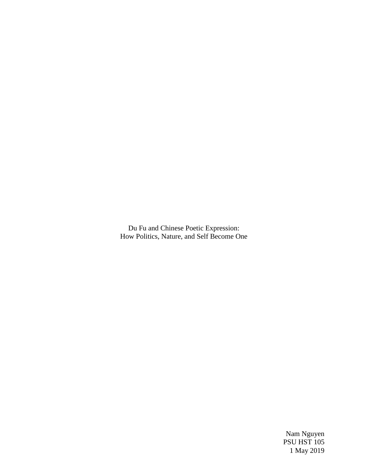Du Fu and Chinese Poetic Expression: How Politics, Nature, and Self Become One

> Nam Nguyen PSU HST 105 1 May 2019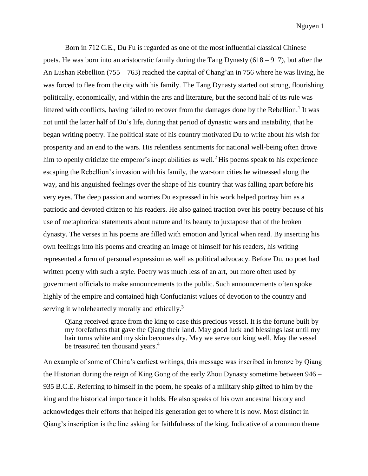Born in 712 C.E., Du Fu is regarded as one of the most influential classical Chinese poets. He was born into an aristocratic family during the Tang Dynasty (618 – 917), but after the An Lushan Rebellion (755 – 763) reached the capital of Chang'an in 756 where he was living, he was forced to flee from the city with his family. The Tang Dynasty started out strong, flourishing politically, economically, and within the arts and literature, but the second half of its rule was littered with conflicts, having failed to recover from the damages done by the Rebellion.<sup>1</sup> It was not until the latter half of Du's life, during that period of dynastic wars and instability, that he began writing poetry. The political state of his country motivated Du to write about his wish for prosperity and an end to the wars. His relentless sentiments for national well-being often drove him to openly criticize the emperor's inept abilities as well.<sup>2</sup> His poems speak to his experience escaping the Rebellion's invasion with his family, the war-torn cities he witnessed along the way, and his anguished feelings over the shape of his country that was falling apart before his very eyes. The deep passion and worries Du expressed in his work helped portray him as a patriotic and devoted citizen to his readers. He also gained traction over his poetry because of his use of metaphorical statements about nature and its beauty to juxtapose that of the broken dynasty. The verses in his poems are filled with emotion and lyrical when read. By inserting his own feelings into his poems and creating an image of himself for his readers, his writing represented a form of personal expression as well as political advocacy. Before Du, no poet had written poetry with such a style. Poetry was much less of an art, but more often used by government officials to make announcements to the public. Such announcements often spoke highly of the empire and contained high Confucianist values of devotion to the country and serving it wholeheartedly morally and ethically.<sup>3</sup>

Qiang received grace from the king to case this precious vessel. It is the fortune built by my forefathers that gave the Qiang their land. May good luck and blessings last until my hair turns white and my skin becomes dry. May we serve our king well. May the vessel be treasured ten thousand years.<sup>4</sup>

An example of some of China's earliest writings, this message was inscribed in bronze by Qiang the Historian during the reign of King Gong of the early Zhou Dynasty sometime between 946 – 935 B.C.E. Referring to himself in the poem, he speaks of a military ship gifted to him by the king and the historical importance it holds. He also speaks of his own ancestral history and acknowledges their efforts that helped his generation get to where it is now. Most distinct in Qiang's inscription is the line asking for faithfulness of the king. Indicative of a common theme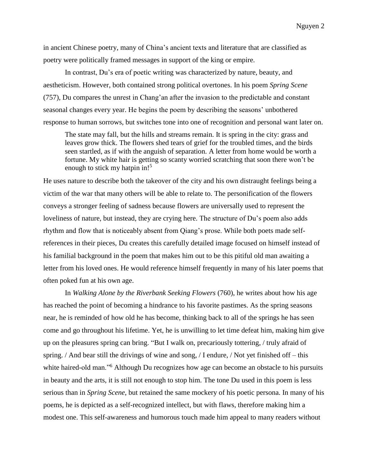in ancient Chinese poetry, many of China's ancient texts and literature that are classified as poetry were politically framed messages in support of the king or empire.

In contrast, Du's era of poetic writing was characterized by nature, beauty, and aestheticism. However, both contained strong political overtones. In his poem *Spring Scene* (757), Du compares the unrest in Chang'an after the invasion to the predictable and constant seasonal changes every year. He begins the poem by describing the seasons' unbothered response to human sorrows, but switches tone into one of recognition and personal want later on.

The state may fall, but the hills and streams remain. It is spring in the city: grass and leaves grow thick. The flowers shed tears of grief for the troubled times, and the birds seen startled, as if with the anguish of separation. A letter from home would be worth a fortune. My white hair is getting so scanty worried scratching that soon there won't be enough to stick my hatpin in!<sup>5</sup>

He uses nature to describe both the takeover of the city and his own distraught feelings being a victim of the war that many others will be able to relate to. The personification of the flowers conveys a stronger feeling of sadness because flowers are universally used to represent the loveliness of nature, but instead, they are crying here. The structure of Du's poem also adds rhythm and flow that is noticeably absent from Qiang's prose. While both poets made selfreferences in their pieces, Du creates this carefully detailed image focused on himself instead of his familial background in the poem that makes him out to be this pitiful old man awaiting a letter from his loved ones. He would reference himself frequently in many of his later poems that often poked fun at his own age.

In *Walking Alone by the Riverbank Seeking Flowers* (760), he writes about how his age has reached the point of becoming a hindrance to his favorite pastimes. As the spring seasons near, he is reminded of how old he has become, thinking back to all of the springs he has seen come and go throughout his lifetime. Yet, he is unwilling to let time defeat him, making him give up on the pleasures spring can bring. "But I walk on, precariously tottering, / truly afraid of spring. / And bear still the drivings of wine and song, / I endure, / Not yet finished off – this white haired-old man.<sup>56</sup> Although Du recognizes how age can become an obstacle to his pursuits in beauty and the arts, it is still not enough to stop him. The tone Du used in this poem is less serious than in *Spring Scene*, but retained the same mockery of his poetic persona. In many of his poems, he is depicted as a self-recognized intellect, but with flaws, therefore making him a modest one. This self-awareness and humorous touch made him appeal to many readers without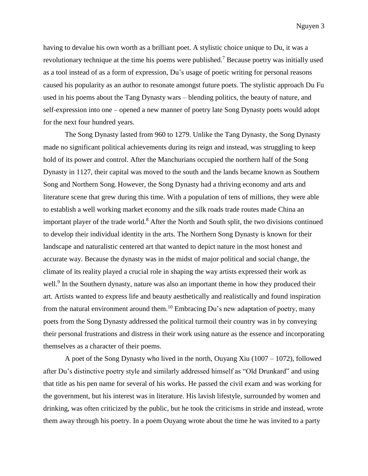having to devalue his own worth as a brilliant poet. A stylistic choice unique to Du, it was a revolutionary technique at the time his poems were published.<sup>7</sup> Because poetry was initially used as a tool instead of as a form of expression, Du's usage of poetic writing for personal reasons caused his popularity as an author to resonate amongst future poets. The stylistic approach Du Fu used in his poems about the Tang Dynasty wars – blending politics, the beauty of nature, and self-expression into one – opened a new manner of poetry late Song Dynasty poets would adopt for the next four hundred years.

The Song Dynasty lasted from 960 to 1279. Unlike the Tang Dynasty, the Song Dynasty made no significant political achievements during its reign and instead, was struggling to keep hold of its power and control. After the Manchurians occupied the northern half of the Song Dynasty in 1127, their capital was moved to the south and the lands became known as Southern Song and Northern Song. However, the Song Dynasty had a thriving economy and arts and literature scene that grew during this time. With a population of tens of millions, they were able to establish a well working market economy and the silk roads trade routes made China an important player of the trade world.<sup>8</sup> After the North and South split, the two divisions continued to develop their individual identity in the arts. The Northern Song Dynasty is known for their landscape and naturalistic centered art that wanted to depict nature in the most honest and accurate way. Because the dynasty was in the midst of major political and social change, the climate of its reality played a crucial role in shaping the way artists expressed their work as well.<sup>9</sup> In the Southern dynasty, nature was also an important theme in how they produced their art. Artists wanted to express life and beauty aesthetically and realistically and found inspiration from the natural environment around them.<sup>10</sup> Embracing Du's new adaptation of poetry, many poets from the Song Dynasty addressed the political turmoil their country was in by conveying their personal frustrations and distress in their work using nature as the essence and incorporating themselves as a character of their poems.

A poet of the Song Dynasty who lived in the north, Ouyang Xiu (1007 – 1072), followed after Du's distinctive poetry style and similarly addressed himself as "Old Drunkard" and using that title as his pen name for several of his works. He passed the civil exam and was working for the government, but his interest was in literature. His lavish lifestyle, surrounded by women and drinking, was often criticized by the public, but he took the criticisms in stride and instead, wrote them away through his poetry. In a poem Ouyang wrote about the time he was invited to a party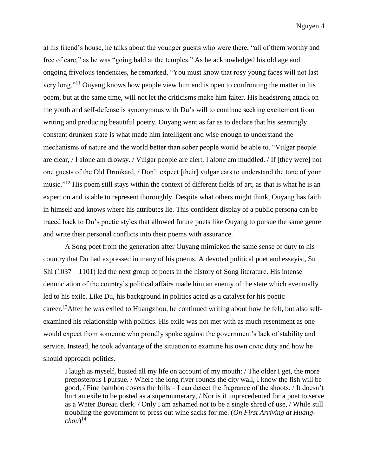at his friend's house, he talks about the younger guests who were there, "all of them worthy and free of care," as he was "going bald at the temples." As he acknowledged his old age and ongoing frivolous tendencies, he remarked, "You must know that rosy young faces will not last very long."<sup>11</sup> Ouyang knows how people view him and is open to confronting the matter in his poem, but at the same time, will not let the criticisms make him falter. His headstrong attack on the youth and self-defense is synonymous with Du's will to continue seeking excitement from writing and producing beautiful poetry. Ouyang went as far as to declare that his seemingly constant drunken state is what made him intelligent and wise enough to understand the mechanisms of nature and the world better than sober people would be able to. "Vulgar people are clear, / I alone am drowsy. / Vulgar people are alert, I alone am muddled. / If [they were] not one guests of the Old Drunkard, / Don't expect [their] vulgar ears to understand the tone of your music."<sup>12</sup> His poem still stays within the context of different fields of art, as that is what he is an expert on and is able to represent thoroughly. Despite what others might think, Ouyang has faith in himself and knows where his attributes lie. This confident display of a public persona can be traced back to Du's poetic styles that allowed future poets like Ouyang to pursue the same genre and write their personal conflicts into their poems with assurance.

A Song poet from the generation after Ouyang mimicked the same sense of duty to his country that Du had expressed in many of his poems. A devoted political poet and essayist, Su Shi (1037 – 1101) led the next group of poets in the history of Song literature. His intense denunciation of the country's political affairs made him an enemy of the state which eventually led to his exile. Like Du, his background in politics acted as a catalyst for his poetic career.<sup>13</sup>After he was exiled to Huangzhou, he continued writing about how he felt, but also selfexamined his relationship with politics. His exile was not met with as much resentment as one would expect from someone who proudly spoke against the government's lack of stability and service. Instead, he took advantage of the situation to examine his own civic duty and how he should approach politics.

I laugh as myself, busied all my life on account of my mouth: / The older I get, the more preposterous I pursue. / Where the long river rounds the city wall, I know the fish will be good, / Fine bamboo covers the hills – I can detect the fragrance of the shoots. / It doesn't hurt an exile to be posted as a supernumerary, / Nor is it unprecedented for a poet to serve as a Water Bureau clerk. / Only I am ashamed not to be a single shred of use, / While still troubling the government to press out wine sacks for me. (*On First Arriving at Huangchou*) 14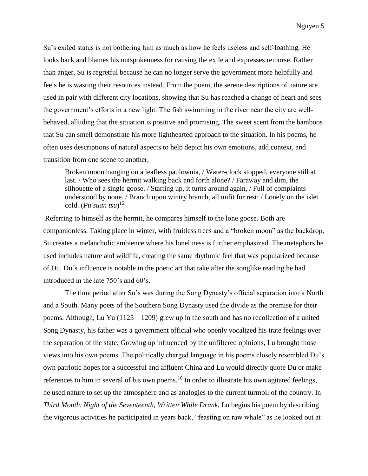Su's exiled status is not bothering him as much as how he feels useless and self-loathing. He looks back and blames his outspokenness for causing the exile and expresses remorse. Rather than anger, Su is regretful because he can no longer serve the government more helpfully and feels he is wasting their resources instead. From the poem, the serene descriptions of nature are used in pair with different city locations, showing that Su has reached a change of heart and sees the government's efforts in a new light. The fish swimming in the river near the city are wellbehaved, alluding that the situation is positive and promising. The sweet scent from the bamboos that Su can smell demonstrate his more lighthearted approach to the situation. In his poems, he often uses descriptions of natural aspects to help depict his own emotions, add context, and transition from one scene to another,

Broken moon hanging on a leafless paulownia, / Water-clock stopped, everyone still at last. / Who sees the hermit walking back and forth alone? / Faraway and dim, the silhouette of a single goose. / Starting up, it turns around again, / Full of complaints understood by none. / Branch upon wintry branch, all unfit for rest: / Lonely on the islet cold. (*Pu suan tsu*) 15

Referring to himself as the hermit, he compares himself to the lone goose. Both are companionless. Taking place in winter, with fruitless trees and a "broken moon" as the backdrop, Su creates a melancholic ambience where his loneliness is further emphasized. The metaphors he used includes nature and wildlife, creating the same rhythmic feel that was popularized because of Du. Du's influence is notable in the poetic art that take after the songlike reading he had introduced in the late 750's and 60's.

The time period after Su's was during the Song Dynasty's official separation into a North and a South. Many poets of the Southern Song Dynasty used the divide as the premise for their poems. Although, Lu Yu ( $1125 - 1209$ ) grew up in the south and has no recollection of a united Song Dynasty, his father was a government official who openly vocalized his irate feelings over the separation of the state. Growing up influenced by the unfiltered opinions, Lu brought those views into his own poems. The politically charged language in his poems closely resembled Du's own patriotic hopes for a successful and affluent China and Lu would directly quote Du or make references to him in several of his own poems.<sup>16</sup> In order to illustrate his own agitated feelings, he used nature to set up the atmosphere and as analogies to the current turmoil of the country. In *Third Month, Night of the Seventeenth, Written While Drunk*, Lu begins his poem by describing the vigorous activities he participated in years back, "feasting on raw whale" as he looked out at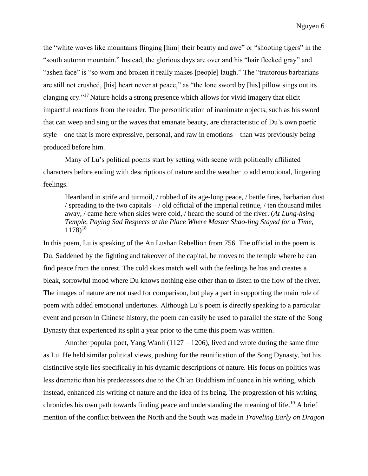the "white waves like mountains flinging [him] their beauty and awe" or "shooting tigers" in the "south autumn mountain." Instead, the glorious days are over and his "hair flecked gray" and "ashen face" is "so worn and broken it really makes [people] laugh." The "traitorous barbarians are still not crushed, [his] heart never at peace," as "the lone sword by [his] pillow sings out its clanging cry."<sup>17</sup> Nature holds a strong presence which allows for vivid imagery that elicit impactful reactions from the reader. The personification of inanimate objects, such as his sword that can weep and sing or the waves that emanate beauty, are characteristic of Du's own poetic style – one that is more expressive, personal, and raw in emotions – than was previously being produced before him.

Many of Lu's political poems start by setting with scene with politically affiliated characters before ending with descriptions of nature and the weather to add emotional, lingering feelings.

Heartland in strife and turmoil, / robbed of its age-long peace, / battle fires, barbarian dust / spreading to the two capitals  $-$  / old official of the imperial retinue,  $/$  ten thousand miles away, / came here when skies were cold, / heard the sound of the river. (*At Lung-hsing Temple, Paying Sad Respects at the Place Where Master Shao-ling Stayed for a Time*,  $1178$ <sup>18</sup>

In this poem, Lu is speaking of the An Lushan Rebellion from 756. The official in the poem is Du. Saddened by the fighting and takeover of the capital, he moves to the temple where he can find peace from the unrest. The cold skies match well with the feelings he has and creates a bleak, sorrowful mood where Du knows nothing else other than to listen to the flow of the river. The images of nature are not used for comparison, but play a part in supporting the main role of poem with added emotional undertones. Although Lu's poem is directly speaking to a particular event and person in Chinese history, the poem can easily be used to parallel the state of the Song Dynasty that experienced its split a year prior to the time this poem was written.

Another popular poet, Yang Wanli (1127 – 1206), lived and wrote during the same time as Lu. He held similar political views, pushing for the reunification of the Song Dynasty, but his distinctive style lies specifically in his dynamic descriptions of nature. His focus on politics was less dramatic than his predecessors due to the Ch'an Buddhism influence in his writing, which instead, enhanced his writing of nature and the idea of its being. The progression of his writing chronicles his own path towards finding peace and understanding the meaning of life. <sup>19</sup> A brief mention of the conflict between the North and the South was made in *Traveling Early on Dragon*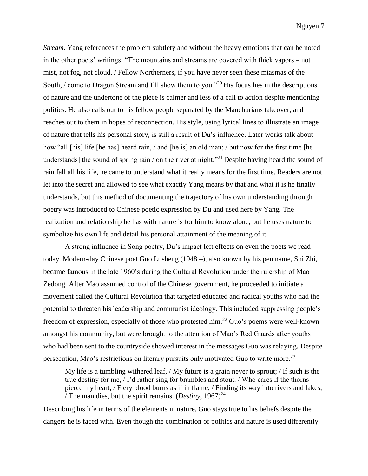*Stream*. Yang references the problem subtlety and without the heavy emotions that can be noted in the other poets' writings. "The mountains and streams are covered with thick vapors – not mist, not fog, not cloud. / Fellow Northerners, if you have never seen these miasmas of the South, / come to Dragon Stream and I'll show them to you."<sup>20</sup> His focus lies in the descriptions of nature and the undertone of the piece is calmer and less of a call to action despite mentioning politics. He also calls out to his fellow people separated by the Manchurians takeover, and reaches out to them in hopes of reconnection. His style, using lyrical lines to illustrate an image of nature that tells his personal story, is still a result of Du's influence. Later works talk about how "all [his] life [he has] heard rain, / and [he is] an old man; / but now for the first time [he understands] the sound of spring rain / on the river at night.<sup> $21$ </sup> Despite having heard the sound of rain fall all his life, he came to understand what it really means for the first time. Readers are not let into the secret and allowed to see what exactly Yang means by that and what it is he finally understands, but this method of documenting the trajectory of his own understanding through poetry was introduced to Chinese poetic expression by Du and used here by Yang. The realization and relationship he has with nature is for him to know alone, but he uses nature to symbolize his own life and detail his personal attainment of the meaning of it.

A strong influence in Song poetry, Du's impact left effects on even the poets we read today. Modern-day Chinese poet Guo Lusheng (1948 –), also known by his pen name, Shi Zhi, became famous in the late 1960's during the Cultural Revolution under the rulership of Mao Zedong. After Mao assumed control of the Chinese government, he proceeded to initiate a movement called the Cultural Revolution that targeted educated and radical youths who had the potential to threaten his leadership and communist ideology. This included suppressing people's freedom of expression, especially of those who protested him.<sup>22</sup> Guo's poems were well-known amongst his community, but were brought to the attention of Mao's Red Guards after youths who had been sent to the countryside showed interest in the messages Guo was relaying. Despite persecution, Mao's restrictions on literary pursuits only motivated Guo to write more.<sup>23</sup>

My life is a tumbling withered leaf, / My future is a grain never to sprout; / If such is the true destiny for me, / I'd rather sing for brambles and stout. / Who cares if the thorns pierce my heart, / Fiery blood burns as if in flame, / Finding its way into rivers and lakes, / The man dies, but the spirit remains.  $(Destiny, 1967)^{24}$ 

Describing his life in terms of the elements in nature, Guo stays true to his beliefs despite the dangers he is faced with. Even though the combination of politics and nature is used differently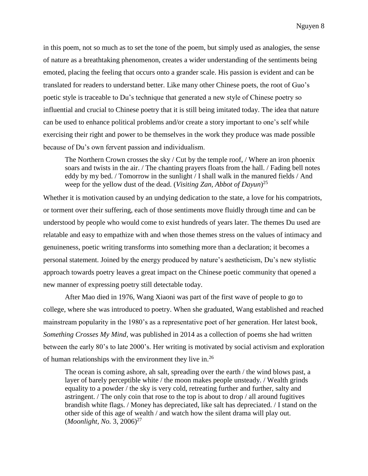in this poem, not so much as to set the tone of the poem, but simply used as analogies, the sense of nature as a breathtaking phenomenon, creates a wider understanding of the sentiments being emoted, placing the feeling that occurs onto a grander scale. His passion is evident and can be translated for readers to understand better. Like many other Chinese poets, the root of Guo's poetic style is traceable to Du's technique that generated a new style of Chinese poetry so influential and crucial to Chinese poetry that it is still being imitated today. The idea that nature can be used to enhance political problems and/or create a story important to one's self while exercising their right and power to be themselves in the work they produce was made possible because of Du's own fervent passion and individualism.

The Northern Crown crosses the sky / Cut by the temple roof, / Where an iron phoenix soars and twists in the air. / The chanting prayers floats from the hall. / Fading bell notes eddy by my bed. / Tomorrow in the sunlight / I shall walk in the manured fields / And weep for the yellow dust of the dead. (*Visiting Zan, Abbot of Dayun*) 25

Whether it is motivation caused by an undying dedication to the state, a love for his compatriots, or torment over their suffering, each of those sentiments move fluidly through time and can be understood by people who would come to exist hundreds of years later. The themes Du used are relatable and easy to empathize with and when those themes stress on the values of intimacy and genuineness, poetic writing transforms into something more than a declaration; it becomes a personal statement. Joined by the energy produced by nature's aestheticism, Du's new stylistic approach towards poetry leaves a great impact on the Chinese poetic community that opened a new manner of expressing poetry still detectable today.

After Mao died in 1976, Wang Xiaoni was part of the first wave of people to go to college, where she was introduced to poetry. When she graduated, Wang established and reached mainstream popularity in the 1980's as a representative poet of her generation. Her latest book, *Something Crosses My Mind*, was published in 2014 as a collection of poems she had written between the early 80's to late 2000's. Her writing is motivated by social activism and exploration of human relationships with the environment they live in.<sup>26</sup>

The ocean is coming ashore, ah salt, spreading over the earth / the wind blows past, a layer of barely perceptible white / the moon makes people unsteady. / Wealth grinds equality to a powder / the sky is very cold, retreating further and further, salty and astringent. / The only coin that rose to the top is about to drop / all around fugitives brandish white flags. / Money has depreciated, like salt has depreciated. / I stand on the other side of this age of wealth / and watch how the silent drama will play out. (*Moonlight, No.* 3, 2006)<sup>27</sup>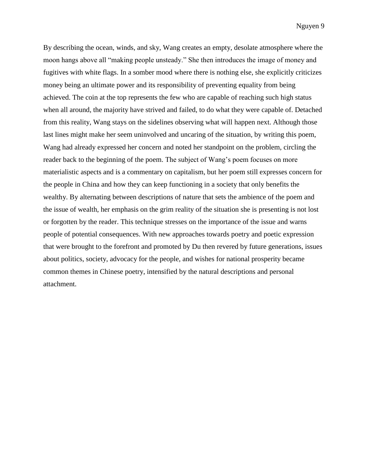By describing the ocean, winds, and sky, Wang creates an empty, desolate atmosphere where the moon hangs above all "making people unsteady." She then introduces the image of money and fugitives with white flags. In a somber mood where there is nothing else, she explicitly criticizes money being an ultimate power and its responsibility of preventing equality from being achieved. The coin at the top represents the few who are capable of reaching such high status when all around, the majority have strived and failed, to do what they were capable of. Detached from this reality, Wang stays on the sidelines observing what will happen next. Although those last lines might make her seem uninvolved and uncaring of the situation, by writing this poem, Wang had already expressed her concern and noted her standpoint on the problem, circling the reader back to the beginning of the poem. The subject of Wang's poem focuses on more materialistic aspects and is a commentary on capitalism, but her poem still expresses concern for the people in China and how they can keep functioning in a society that only benefits the wealthy. By alternating between descriptions of nature that sets the ambience of the poem and the issue of wealth, her emphasis on the grim reality of the situation she is presenting is not lost or forgotten by the reader. This technique stresses on the importance of the issue and warns people of potential consequences. With new approaches towards poetry and poetic expression that were brought to the forefront and promoted by Du then revered by future generations, issues about politics, society, advocacy for the people, and wishes for national prosperity became common themes in Chinese poetry, intensified by the natural descriptions and personal attachment.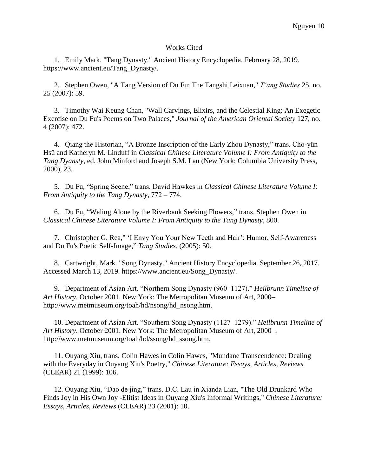## Works Cited

1. Emily Mark. "Tang Dynasty." Ancient History Encyclopedia. February 28, 2019. https://www.ancient.eu/Tang\_Dynasty/.

2. Stephen Owen, "A Tang Version of Du Fu: The Tangshi Leixuan," *Tʻang Studies* 25, no. 25 (2007): 59.

3. Timothy Wai Keung Chan, "Wall Carvings, Elixirs, and the Celestial King: An Exegetic Exercise on Du Fu's Poems on Two Palaces," *Journal of the American Oriental Society* 127, no. 4 (2007): 472.

4. Qiang the Historian, "A Bronze Inscription of the Early Zhou Dynasty," trans. Cho-yün Hsü and Katheryn M. Linduff in *Classical Chinese Literature Volume I: From Antiquity to the Tang Dyansty*, ed. John Minford and Joseph S.M. Lau (New York: Columbia University Press, 2000), 23.

5. Du Fu, "Spring Scene," trans. David Hawkes in *Classical Chinese Literature Volume I: From Antiquity to the Tang Dynasty*, 772 – 774.

6. Du Fu, "Waling Alone by the Riverbank Seeking Flowers," trans. Stephen Owen in *Classical Chinese Literature Volume I: From Antiquity to the Tang Dynasty*, 800.

7. Christopher G. Rea," 'I Envy You Your New Teeth and Hair': Humor, Self-Awareness and Du Fu's Poetic Self-Image," *Tang Studies*. (2005): 50.

8. Cartwright, Mark. "Song Dynasty." Ancient History Encyclopedia. September 26, 2017. Accessed March 13, 2019. https://www.ancient.eu/Song\_Dynasty/.

9. Department of Asian Art. "Northern Song Dynasty (960–1127)." *Heilbrunn Timeline of Art History*. October 2001. New York: The Metropolitan Museum of Art, 2000–. http://www.metmuseum.org/toah/hd/nsong/hd\_nsong.htm.

10. Department of Asian Art. "Southern Song Dynasty (1127–1279)." *Heilbrunn Timeline of Art History*. October 2001. New York: The Metropolitan Museum of Art, 2000–. http://www.metmuseum.org/toah/hd/ssong/hd\_ssong.htm.

11. Ouyang Xiu, trans. Colin Hawes in Colin Hawes, "Mundane Transcendence: Dealing with the Everyday in Ouyang Xiu's Poetry," *Chinese Literature: Essays, Articles, Reviews* (CLEAR) 21 (1999): 106.

12. Ouyang Xiu, "Dao de jing," trans. D.C. Lau in Xianda Lian, "The Old Drunkard Who Finds Joy in His Own Joy -Elitist Ideas in Ouyang Xiu's Informal Writings," *Chinese Literature: Essays, Articles, Reviews* (CLEAR) 23 (2001): 10.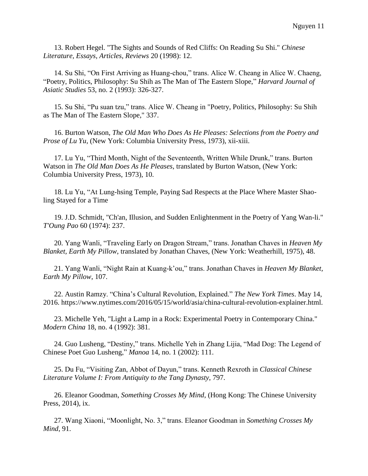13. Robert Hegel. "The Sights and Sounds of Red Cliffs: On Reading Su Shi." *Chinese Literature, Essays, Articles, Reviews* 20 (1998): 12.

14. Su Shi, "On First Arriving as Huang-chou," trans. Alice W. Cheang in Alice W. Chaeng, "Poetry, Politics, Philosophy: Su Shih as The Man of The Eastern Slope," *Harvard Journal of Asiatic Studies* 53, no. 2 (1993): 326-327.

15. Su Shi, "Pu suan tzu," trans. Alice W. Cheang in "Poetry, Politics, Philosophy: Su Shih as The Man of The Eastern Slope," 337.

16. Burton Watson, *The Old Man Who Does As He Pleases: Selections from the Poetry and Prose of Lu Yu*, (New York: Columbia University Press, 1973), xii-xiii.

17. Lu Yu, "Third Month, Night of the Seventeenth, Written While Drunk," trans. Burton Watson in *The Old Man Does As He Pleases*, translated by Burton Watson, (New York: Columbia University Press, 1973), 10.

18. Lu Yu, "At Lung-hsing Temple, Paying Sad Respects at the Place Where Master Shaoling Stayed for a Time

19. J.D. Schmidt, "Ch'an, Illusion, and Sudden Enlightenment in the Poetry of Yang Wan-li." *T'Oung Pao* 60 (1974): 237.

20. Yang Wanli, "Traveling Early on Dragon Stream," trans. Jonathan Chaves in *Heaven My Blanket, Earth My Pillow*, translated by Jonathan Chaves, (New York: Weatherhill, 1975), 48.

21. Yang Wanli, "Night Rain at Kuang-k'ou," trans. Jonathan Chaves in *Heaven My Blanket, Earth My Pillow*, 107.

22. Austin Ramzy. "China's Cultural Revolution, Explained." *The New York Times*. May 14, 2016. https://www.nytimes.com/2016/05/15/world/asia/china-cultural-revolution-explainer.html.

23. Michelle Yeh, "Light a Lamp in a Rock: Experimental Poetry in Contemporary China." *Modern China* 18, no. 4 (1992): 381.

24. Guo Lusheng, "Destiny," trans. Michelle Yeh in Zhang Lijia, "Mad Dog: The Legend of Chinese Poet Guo Lusheng," *Manoa* 14, no. 1 (2002): 111.

25. Du Fu, "Visiting Zan, Abbot of Dayun," trans. Kenneth Rexroth in *Classical Chinese Literature Volume I: From Antiquity to the Tang Dynasty*, 797.

26. Eleanor Goodman, *Something Crosses My Mind*, (Hong Kong: The Chinese University Press, 2014), ix.

27. Wang Xiaoni, "Moonlight, No. 3," trans. Eleanor Goodman in *Something Crosses My Mind*, 91.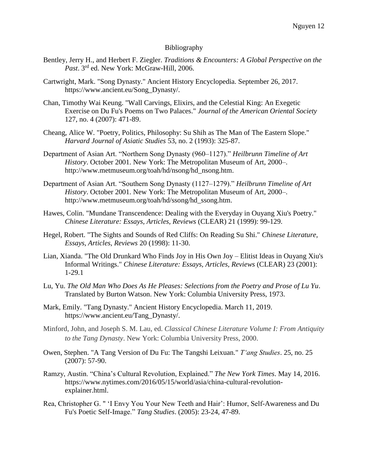## Bibliography

- Bentley, Jerry H., and Herbert F. Ziegler. *Traditions & Encounters: A Global Perspective on the Past*. 3rd ed. New York: McGraw-Hill, 2006.
- Cartwright, Mark. "Song Dynasty." Ancient History Encyclopedia. September 26, 2017. https://www.ancient.eu/Song\_Dynasty/.
- Chan, Timothy Wai Keung. "Wall Carvings, Elixirs, and the Celestial King: An Exegetic Exercise on Du Fu's Poems on Two Palaces." *Journal of the American Oriental Society* 127, no. 4 (2007): 471-89.
- Cheang, Alice W. "Poetry, Politics, Philosophy: Su Shih as The Man of The Eastern Slope." *Harvard Journal of Asiatic Studies* 53, no. 2 (1993): 325-87.
- Department of Asian Art. "Northern Song Dynasty (960–1127)." *Heilbrunn Timeline of Art History*. October 2001. New York: The Metropolitan Museum of Art, 2000–. http://www.metmuseum.org/toah/hd/nsong/hd\_nsong.htm.
- Department of Asian Art. "Southern Song Dynasty (1127–1279)." *Heilbrunn Timeline of Art History*. October 2001. New York: The Metropolitan Museum of Art, 2000–. http://www.metmuseum.org/toah/hd/ssong/hd\_ssong.htm.
- Hawes, Colin. "Mundane Transcendence: Dealing with the Everyday in Ouyang Xiu's Poetry." *Chinese Literature: Essays, Articles, Reviews* (CLEAR) 21 (1999): 99-129.
- Hegel, Robert. "The Sights and Sounds of Red Cliffs: On Reading Su Shi." *Chinese Literature, Essays, Articles, Reviews* 20 (1998): 11-30.
- Lian, Xianda. "The Old Drunkard Who Finds Joy in His Own Joy Elitist Ideas in Ouyang Xiu's Informal Writings." *Chinese Literature: Essays, Articles, Reviews* (CLEAR) 23 (2001): 1-29.1
- Lu, Yu. *The Old Man Who Does As He Pleases: Selections from the Poetry and Prose of Lu Yu*. Translated by Burton Watson. New York: Columbia University Press, 1973.
- Mark, Emily. "Tang Dynasty." Ancient History Encyclopedia. March 11, 2019. https://www.ancient.eu/Tang\_Dynasty/.
- Minford, John, and Joseph S. M. Lau, ed. *Classical Chinese Literature Volume I: From Antiquity to the Tang Dynasty*. New York: Columbia University Press, 2000.
- Owen, Stephen. "A Tang Version of Du Fu: The Tangshi Leixuan." *Tʻang Studies*. 25, no. 25 (2007): 57-90.
- Ramzy, Austin. "China's Cultural Revolution, Explained." *The New York Times*. May 14, 2016. https://www.nytimes.com/2016/05/15/world/asia/china-cultural-revolutionexplainer.html.
- Rea, Christopher G. " 'I Envy You Your New Teeth and Hair': Humor, Self-Awareness and Du Fu's Poetic Self-Image." *Tang Studies*. (2005): 23-24, 47-89.